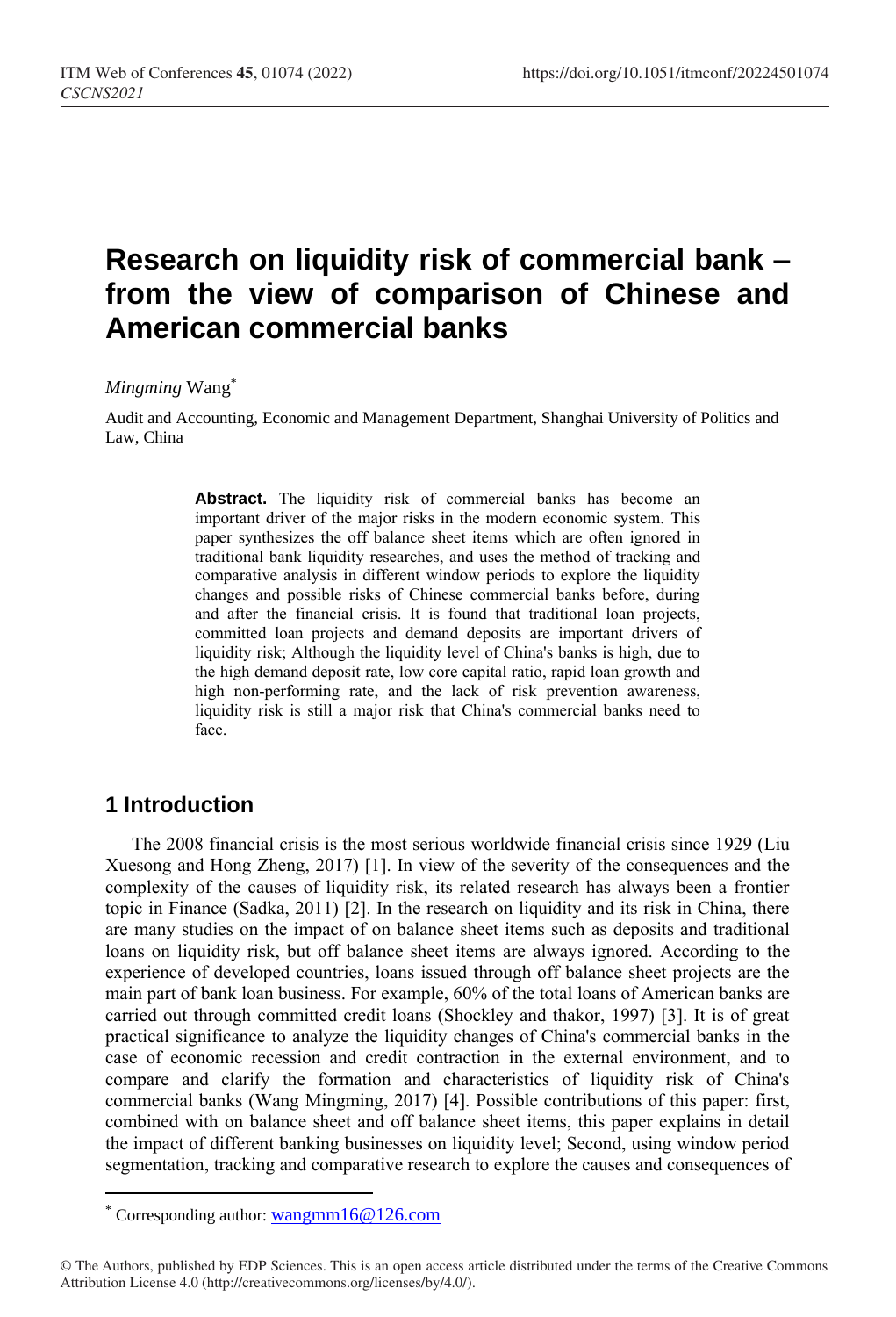# **Research on liquidity risk of commercial bank – from the view of comparison of Chinese and American commercial banks**

#### *Mingming* Wang\*

Audit and Accounting, Economic and Management Department, Shanghai University of Politics and Law, China

> Abstract. The liquidity risk of commercial banks has become an important driver of the major risks in the modern economic system. This paper synthesizes the off balance sheet items which are often ignored in traditional bank liquidity researches, and uses the method of tracking and comparative analysis in different window periods to explore the liquidity changes and possible risks of Chinese commercial banks before, during and after the financial crisis. It is found that traditional loan projects, committed loan projects and demand deposits are important drivers of liquidity risk; Although the liquidity level of China's banks is high, due to the high demand deposit rate, low core capital ratio, rapid loan growth and high non-performing rate, and the lack of risk prevention awareness, liquidity risk is still a major risk that China's commercial banks need to face.

### **1 Introduction**

 $\overline{a}$ 

The 2008 financial crisis is the most serious worldwide financial crisis since 1929 (Liu Xuesong and Hong Zheng, 2017) [1]. In view of the severity of the consequences and the complexity of the causes of liquidity risk, its related research has always been a frontier topic in Finance (Sadka, 2011) [2]. In the research on liquidity and its risk in China, there are many studies on the impact of on balance sheet items such as deposits and traditional loans on liquidity risk, but off balance sheet items are always ignored. According to the experience of developed countries, loans issued through off balance sheet projects are the main part of bank loan business. For example, 60% of the total loans of American banks are carried out through committed credit loans (Shockley and thakor, 1997) [3]. It is of great practical significance to analyze the liquidity changes of China's commercial banks in the case of economic recession and credit contraction in the external environment, and to compare and clarify the formation and characteristics of liquidity risk of China's commercial banks (Wang Mingming, 2017) [4]. Possible contributions of this paper: first, combined with on balance sheet and off balance sheet items, this paper explains in detail the impact of different banking businesses on liquidity level; Second, using window period segmentation, tracking and comparative research to explore the causes and consequences of

<sup>\*</sup> Corresponding author: [wangmm16@126.com](mailto:wangmm16@126.com)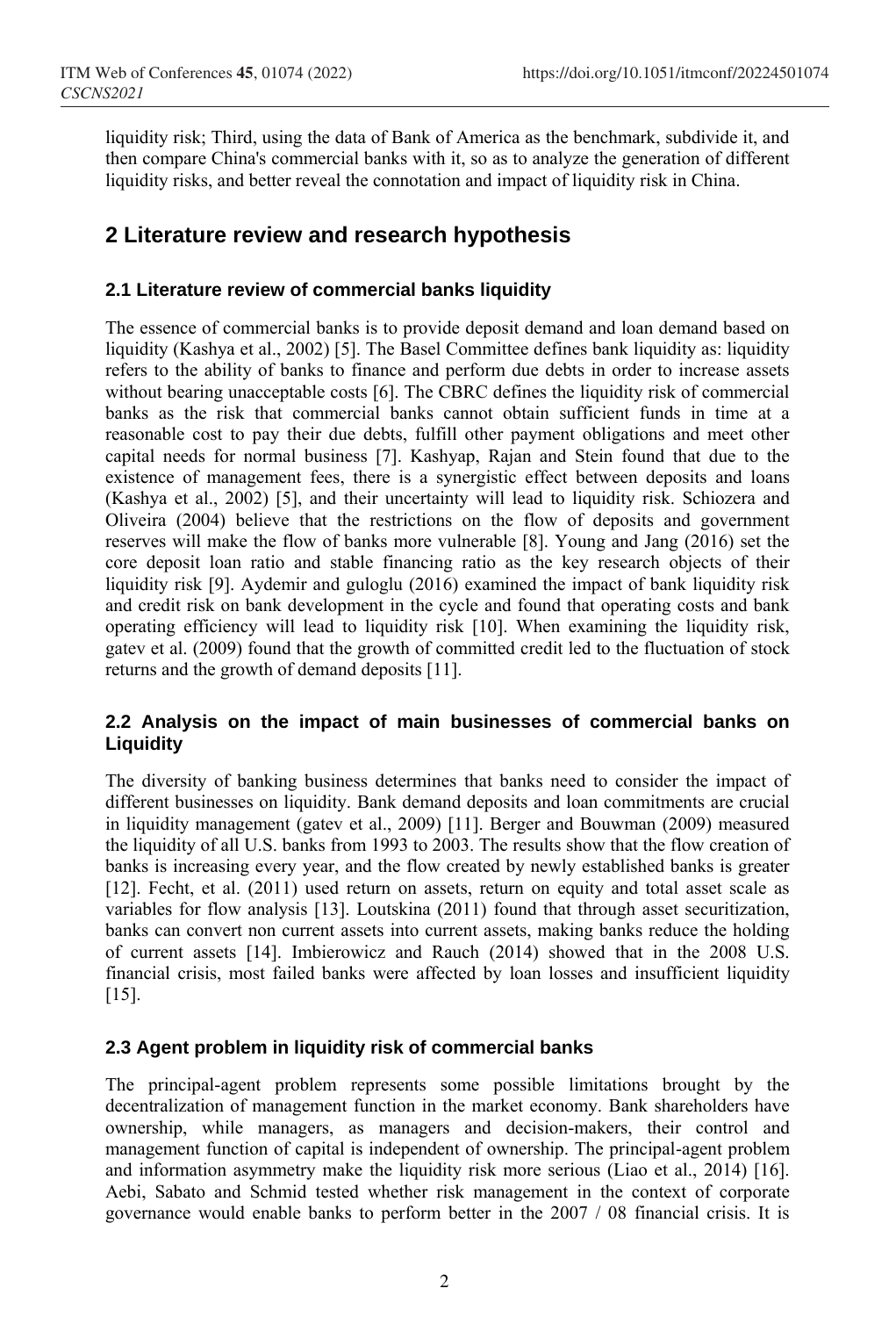liquidity risk; Third, using the data of Bank of America as the benchmark, subdivide it, and then compare China's commercial banks with it, so as to analyze the generation of different liquidity risks, and better reveal the connotation and impact of liquidity risk in China.

# **2 Literature review and research hypothesis**

#### **2.1 Literature review of commercial banks liquidity**

The essence of commercial banks is to provide deposit demand and loan demand based on liquidity (Kashya et al., 2002) [5]. The Basel Committee defines bank liquidity as: liquidity refers to the ability of banks to finance and perform due debts in order to increase assets without bearing unacceptable costs [6]. The CBRC defines the liquidity risk of commercial banks as the risk that commercial banks cannot obtain sufficient funds in time at a reasonable cost to pay their due debts, fulfill other payment obligations and meet other capital needs for normal business [7]. Kashyap, Rajan and Stein found that due to the existence of management fees, there is a synergistic effect between deposits and loans (Kashya et al., 2002) [5], and their uncertainty will lead to liquidity risk. Schiozera and Oliveira (2004) believe that the restrictions on the flow of deposits and government reserves will make the flow of banks more vulnerable [8]. Young and Jang (2016) set the core deposit loan ratio and stable financing ratio as the key research objects of their liquidity risk [9]. Aydemir and guloglu (2016) examined the impact of bank liquidity risk and credit risk on bank development in the cycle and found that operating costs and bank operating efficiency will lead to liquidity risk [10]. When examining the liquidity risk, gatev et al. (2009) found that the growth of committed credit led to the fluctuation of stock returns and the growth of demand deposits [11].

#### **2.2 Analysis on the impact of main businesses of commercial banks on Liquidity**

The diversity of banking business determines that banks need to consider the impact of different businesses on liquidity. Bank demand deposits and loan commitments are crucial in liquidity management (gatev et al., 2009) [11]. Berger and Bouwman (2009) measured the liquidity of all U.S. banks from 1993 to 2003. The results show that the flow creation of banks is increasing every year, and the flow created by newly established banks is greater [12]. Fecht, et al. (2011) used return on assets, return on equity and total asset scale as variables for flow analysis [13]. Loutskina (2011) found that through asset securitization, banks can convert non current assets into current assets, making banks reduce the holding of current assets [14]. Imbierowicz and Rauch (2014) showed that in the 2008 U.S. financial crisis, most failed banks were affected by loan losses and insufficient liquidity [15].

### **2.3 Agent problem in liquidity risk of commercial banks**

The principal-agent problem represents some possible limitations brought by the decentralization of management function in the market economy. Bank shareholders have ownership, while managers, as managers and decision-makers, their control and management function of capital is independent of ownership. The principal-agent problem and information asymmetry make the liquidity risk more serious (Liao et al., 2014) [16]. Aebi, Sabato and Schmid tested whether risk management in the context of corporate governance would enable banks to perform better in the 2007 / 08 financial crisis. It is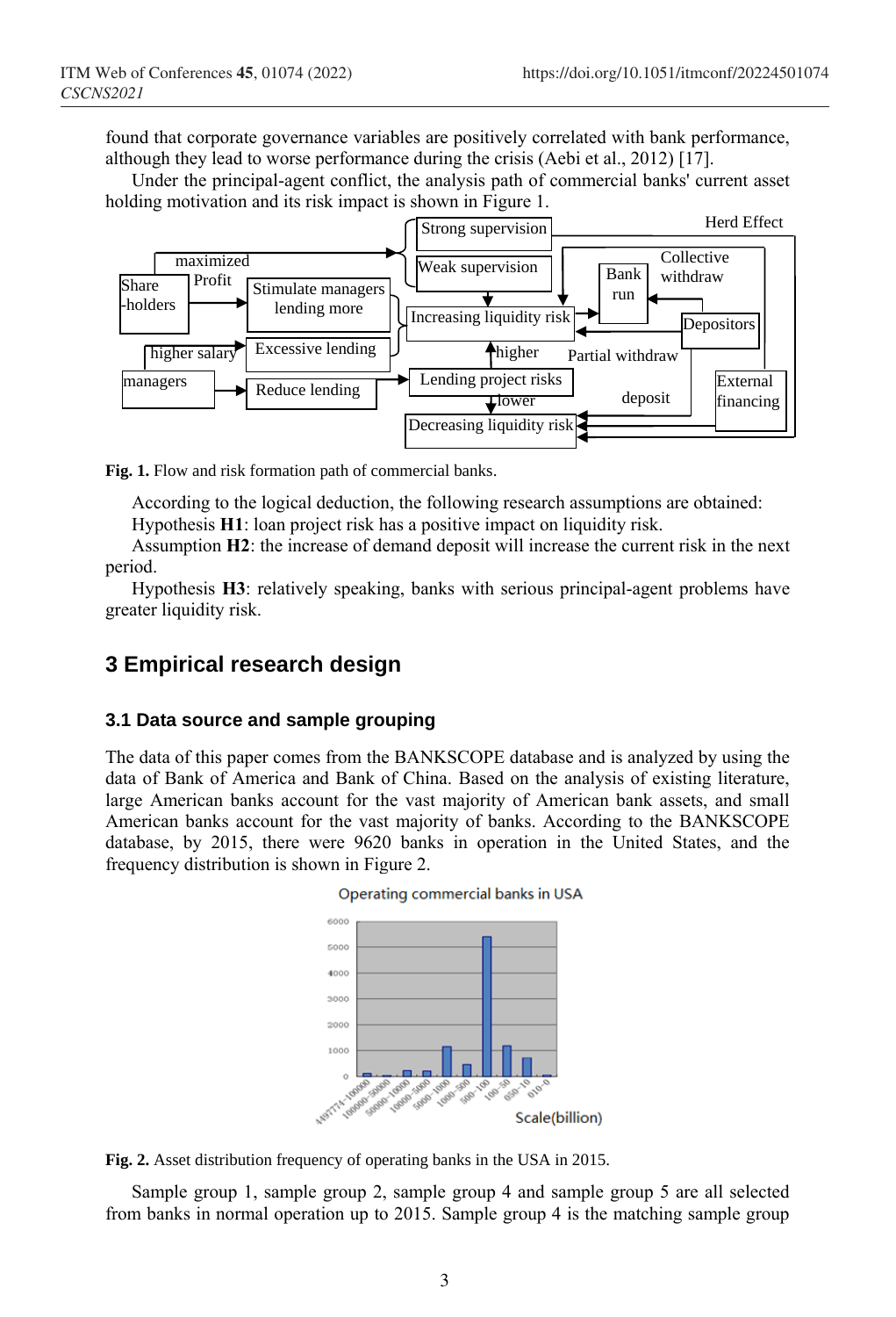found that corporate governance variables are positively correlated with bank performance, although they lead to worse performance during the crisis (Aebi et al., 2012) [17].

Under the principal-agent conflict, the analysis path of commercial banks' current asset holding motivation and its risk impact is shown in Figure 1.



**Fig. 1.** Flow and risk formation path of commercial banks.

According to the logical deduction, the following research assumptions are obtained:

Hypothesis **H1**: loan project risk has a positive impact on liquidity risk.

Assumption **H2**: the increase of demand deposit will increase the current risk in the next period.

Hypothesis **H3**: relatively speaking, banks with serious principal-agent problems have greater liquidity risk.

### **3 Empirical research design**

#### **3.1 Data source and sample grouping**

The data of this paper comes from the BANKSCOPE database and is analyzed by using the data of Bank of America and Bank of China. Based on the analysis of existing literature, large American banks account for the vast majority of American bank assets, and small American banks account for the vast majority of banks. According to the BANKSCOPE database, by 2015, there were 9620 banks in operation in the United States, and the frequency distribution is shown in Figure 2.





**Fig. 2.** Asset distribution frequency of operating banks in the USA in 2015.

Sample group 1, sample group 2, sample group 4 and sample group 5 are all selected from banks in normal operation up to 2015. Sample group 4 is the matching sample group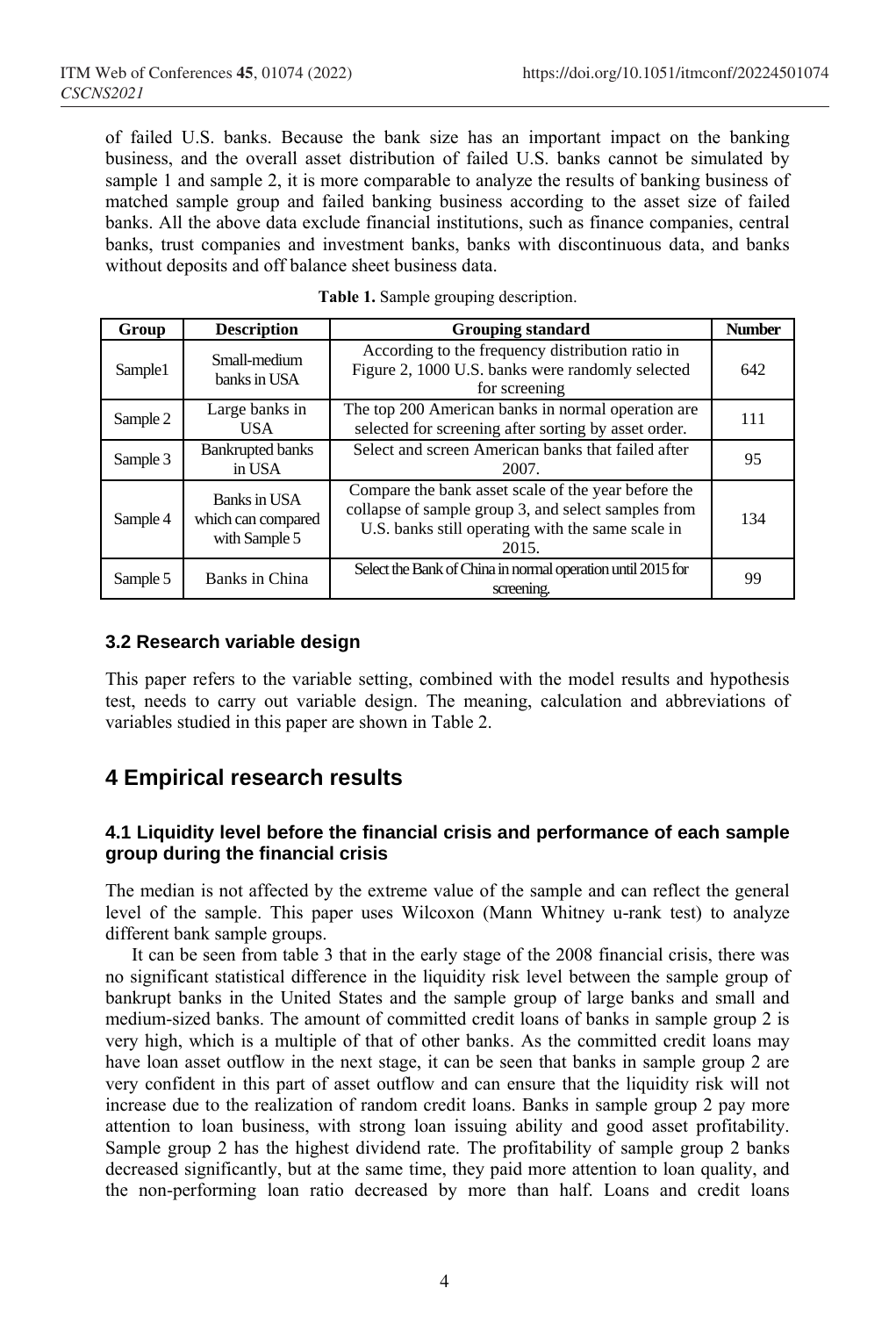of failed U.S. banks. Because the bank size has an important impact on the banking business, and the overall asset distribution of failed U.S. banks cannot be simulated by sample 1 and sample 2, it is more comparable to analyze the results of banking business of matched sample group and failed banking business according to the asset size of failed banks. All the above data exclude financial institutions, such as finance companies, central banks, trust companies and investment banks, banks with discontinuous data, and banks without deposits and off balance sheet business data.

| Group    | <b>Description</b>                                  | <b>Grouping standard</b>                                                                                                                                                 | <b>Number</b> |
|----------|-----------------------------------------------------|--------------------------------------------------------------------------------------------------------------------------------------------------------------------------|---------------|
| Sample1  | Small-medium<br>banks in USA                        | According to the frequency distribution ratio in<br>Figure 2, 1000 U.S. banks were randomly selected<br>for screening                                                    | 642           |
| Sample 2 | Large banks in<br>USA.                              | The top 200 American banks in normal operation are<br>selected for screening after sorting by asset order.                                                               | 111           |
| Sample 3 | <b>Bankrupted banks</b><br>in USA                   | Select and screen American banks that failed after<br>2007.                                                                                                              | 95            |
| Sample 4 | Banks in USA<br>which can compared<br>with Sample 5 | Compare the bank asset scale of the year before the<br>collapse of sample group 3, and select samples from<br>U.S. banks still operating with the same scale in<br>2015. | 134           |
| Sample 5 | Banks in China                                      | Select the Bank of China in normal operation until 2015 for<br>screening.                                                                                                | 99            |

|  |  | Table 1. Sample grouping description. |
|--|--|---------------------------------------|
|  |  |                                       |

#### **3.2 Research variable design**

This paper refers to the variable setting, combined with the model results and hypothesis test, needs to carry out variable design. The meaning, calculation and abbreviations of variables studied in this paper are shown in Table 2.

# **4 Empirical research results**

#### **4.1 Liquidity level before the financial crisis and performance of each sample group during the financial crisis**

The median is not affected by the extreme value of the sample and can reflect the general level of the sample. This paper uses Wilcoxon (Mann Whitney u-rank test) to analyze different bank sample groups.

It can be seen from table 3 that in the early stage of the 2008 financial crisis, there was no significant statistical difference in the liquidity risk level between the sample group of bankrupt banks in the United States and the sample group of large banks and small and medium-sized banks. The amount of committed credit loans of banks in sample group 2 is very high, which is a multiple of that of other banks. As the committed credit loans may have loan asset outflow in the next stage, it can be seen that banks in sample group 2 are very confident in this part of asset outflow and can ensure that the liquidity risk will not increase due to the realization of random credit loans. Banks in sample group 2 pay more attention to loan business, with strong loan issuing ability and good asset profitability. Sample group 2 has the highest dividend rate. The profitability of sample group 2 banks decreased significantly, but at the same time, they paid more attention to loan quality, and the non-performing loan ratio decreased by more than half. Loans and credit loans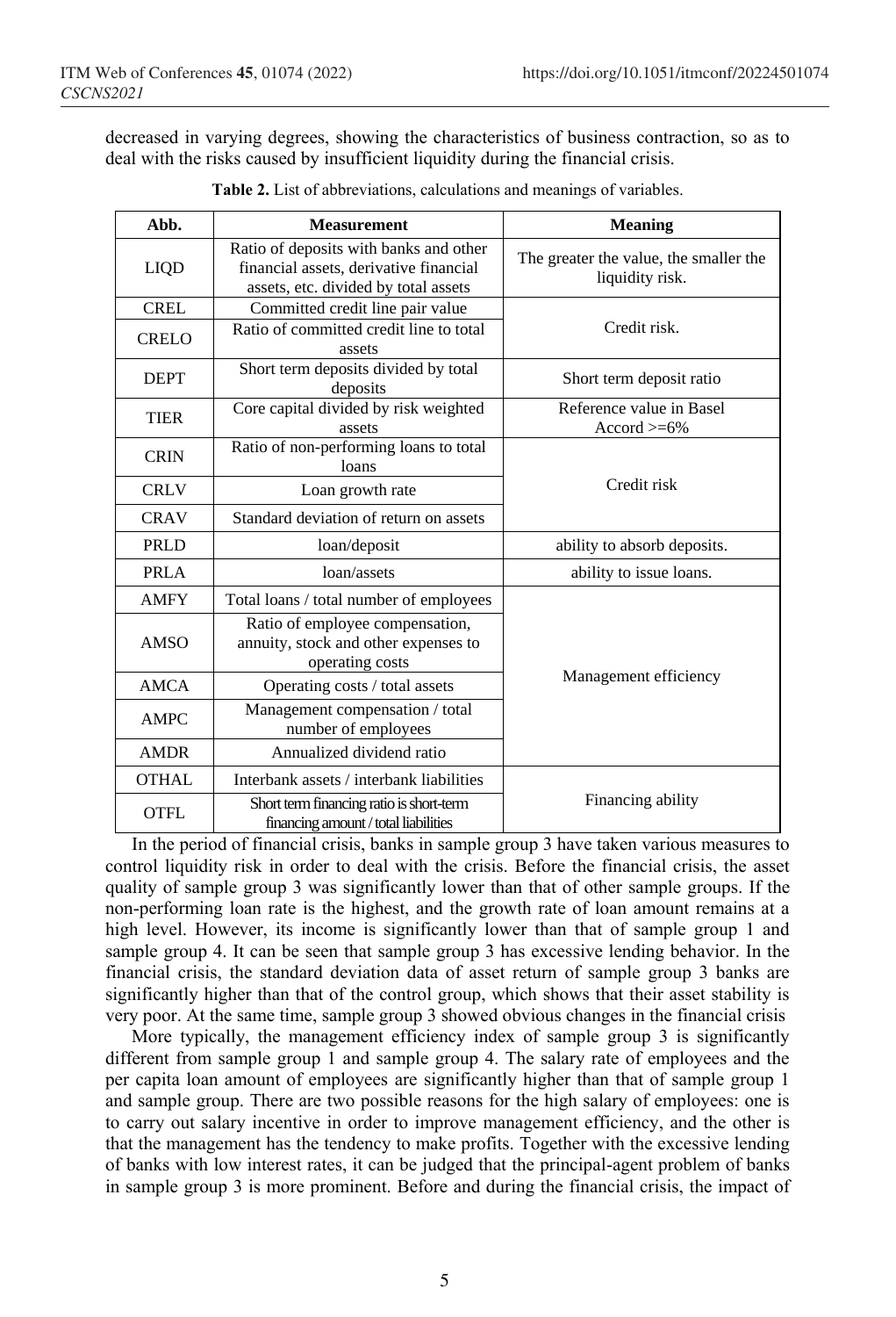decreased in varying degrees, showing the characteristics of business contraction, so as to deal with the risks caused by insufficient liquidity during the financial crisis.

| Abb.         | <b>Measurement</b>                                                                                                       | Meaning                                                   |  |  |
|--------------|--------------------------------------------------------------------------------------------------------------------------|-----------------------------------------------------------|--|--|
| <b>LIQD</b>  | Ratio of deposits with banks and other<br>financial assets, derivative financial<br>assets, etc. divided by total assets | The greater the value, the smaller the<br>liquidity risk. |  |  |
| <b>CREL</b>  | Committed credit line pair value                                                                                         |                                                           |  |  |
| <b>CRELO</b> | Ratio of committed credit line to total<br>assets                                                                        | Credit risk.                                              |  |  |
| <b>DEPT</b>  | Short term deposits divided by total<br>deposits                                                                         | Short term deposit ratio                                  |  |  |
| TIER         | Core capital divided by risk weighted<br>assets                                                                          | Reference value in Basel<br>$\text{Accord} > 6\%$         |  |  |
| <b>CRIN</b>  | Ratio of non-performing loans to total<br>loans                                                                          |                                                           |  |  |
| <b>CRLV</b>  | Loan growth rate                                                                                                         | Credit risk                                               |  |  |
| <b>CRAV</b>  | Standard deviation of return on assets                                                                                   |                                                           |  |  |
| PRLD         | loan/deposit                                                                                                             | ability to absorb deposits.                               |  |  |
| <b>PRLA</b>  | loan/assets                                                                                                              | ability to issue loans.                                   |  |  |
| <b>AMFY</b>  | Total loans / total number of employees                                                                                  |                                                           |  |  |
| <b>AMSO</b>  | Ratio of employee compensation,<br>annuity, stock and other expenses to<br>operating costs                               | Management efficiency                                     |  |  |
| AMCA         | Operating costs / total assets                                                                                           |                                                           |  |  |
| <b>AMPC</b>  | Management compensation / total<br>number of employees                                                                   |                                                           |  |  |
| <b>AMDR</b>  | Annualized dividend ratio                                                                                                |                                                           |  |  |
| <b>OTHAL</b> | Interbank assets / interbank liabilities                                                                                 |                                                           |  |  |
| OTFL         | Short term financing ratio is short-term<br>financing amount / total liabilities                                         | Financing ability                                         |  |  |

**Table 2.** List of abbreviations, calculations and meanings of variables.

In the period of financial crisis, banks in sample group 3 have taken various measures to control liquidity risk in order to deal with the crisis. Before the financial crisis, the asset quality of sample group 3 was significantly lower than that of other sample groups. If the non-performing loan rate is the highest, and the growth rate of loan amount remains at a high level. However, its income is significantly lower than that of sample group 1 and sample group 4. It can be seen that sample group 3 has excessive lending behavior. In the financial crisis, the standard deviation data of asset return of sample group 3 banks are significantly higher than that of the control group, which shows that their asset stability is very poor. At the same time, sample group 3 showed obvious changes in the financial crisis

More typically, the management efficiency index of sample group 3 is significantly different from sample group 1 and sample group 4. The salary rate of employees and the per capita loan amount of employees are significantly higher than that of sample group 1 and sample group. There are two possible reasons for the high salary of employees: one is to carry out salary incentive in order to improve management efficiency, and the other is that the management has the tendency to make profits. Together with the excessive lending of banks with low interest rates, it can be judged that the principal-agent problem of banks in sample group 3 is more prominent. Before and during the financial crisis, the impact of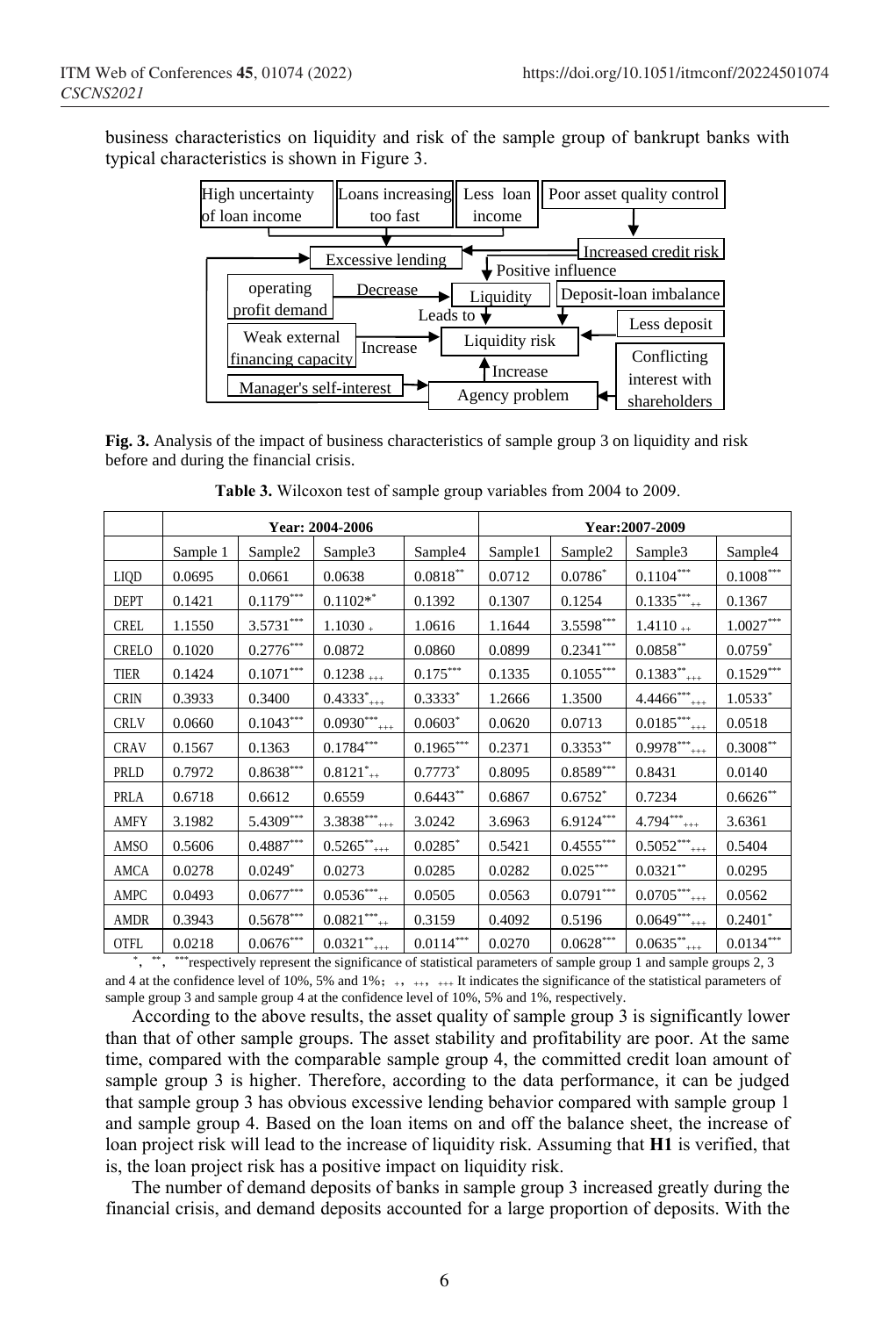business characteristics on liquidity and risk of the sample group of bankrupt banks with typical characteristics is shown in Figure 3.



**Fig. 3.** Analysis of the impact of business characteristics of sample group 3 on liquidity and risk before and during the financial crisis.

|              | Year: 2004-2006 |                         |                                       |                         | Year:2007-2009 |                         |                              |                         |
|--------------|-----------------|-------------------------|---------------------------------------|-------------------------|----------------|-------------------------|------------------------------|-------------------------|
|              | Sample 1        | Sample <sub>2</sub>     | Sample <sub>3</sub>                   | Sample4                 | Sample1        | Sample <sub>2</sub>     | Sample <sub>3</sub>          | Sample4                 |
| LIQD         | 0.0695          | 0.0661                  | 0.0638                                | $0.0818^{\ast\ast}$     | 0.0712         | $0.0786*$               | $0.1104***$                  | $0.1008^{\ast\ast\ast}$ |
| <b>DEPT</b>  | 0.1421          | $0.1179***$             | $0.1102**$                            | 0.1392                  | 0.1307         | 0.1254                  | $0.1335***$                  | 0.1367                  |
| <b>CREL</b>  | 1.1550          | $3.5731***$             | $1.1030 +$                            | 1.0616                  | 1.1644         | $3.5598^{\ast\ast\ast}$ | $1.4110 +$                   | $1.0027^{***}\,$        |
| <b>CRELO</b> | 0.1020          | $0.2776^{\ast\ast\ast}$ | 0.0872                                | 0.0860                  | 0.0899         | $0.2341***$             | $0.0858^{\ast\ast}$          | $0.0759^\ast$           |
| <b>TIER</b>  | 0.1424          | $0.1071^{\ast\ast\ast}$ | $0.1238$ +++                          | $0.175^{\ast\ast\ast}$  | 0.1335         | $0.1055***$             | $0.1383^{**}$ <sub>+++</sub> | $0.1529***$             |
| <b>CRIN</b>  | 0.3933          | 0.3400                  | $0.4333^{*}_{+++}$                    | $0.3333*$               | 1.2666         | 1.3500                  | 4.4466***<br>$^{+++}$        | $1.0533*$               |
| <b>CRLV</b>  | 0.0660          | $0.1043***$             | $0.0930^{***}_{$                      | $0.0603*$               | 0.0620         | 0.0713                  | $0.0185***$                  | 0.0518                  |
| <b>CRAV</b>  | 0.1567          | 0.1363                  | $0.1784***$                           | $0.1965***$             | 0.2371         | $0.3353**$              | $0.9978***$                  | $0.3008^{\ast\ast}$     |
| PRLD         | 0.7972          | $0.8638^{\ast\ast\ast}$ | $0.8121^{*}$                          | $0.7773*$               | 0.8095         | $0.8589^{\ast\ast\ast}$ | 0.8431                       | 0.0140                  |
| PRLA         | 0.6718          | 0.6612                  | 0.6559                                | $0.6443**$              | 0.6867         | $0.6752*$               | 0.7234                       | $0.6626^{\ast\ast}$     |
| <b>AMFY</b>  | 3.1982          | $5.4309***$             | $3.3838***$                           | 3.0242                  | 3.6963         | $6.9124***$             | $4.794***$ <sub>***</sub>    | 3.6361                  |
| AMSO         | 0.5606          | $0.4887***$             | $0.5265^{**}$                         | $0.0285^\ast$           | 0.5421         | $0.4555***$             | $0.5052***$<br>$^{++}$       | 0.5404                  |
| <b>AMCA</b>  | 0.0278          | $0.0249*$               | 0.0273                                | 0.0285                  | 0.0282         | $0.025^{\ast\ast\ast}$  | $0.0321^{\ast\ast}$          | 0.0295                  |
| AMPC         | 0.0493          | $0.0677^{\ast\ast\ast}$ | $0.0536***$                           | 0.0505                  | 0.0563         | $0.0791^{\ast\ast\ast}$ | $0.0705***$                  | 0.0562                  |
| AMDR         | 0.3943          | $0.5678^{\ast\ast\ast}$ | $0.0821***$                           | 0.3159                  | 0.4092         | 0.5196                  | $0.0649***$ <sub>+++</sub>   | $0.2401$ *              |
| <b>OTFL</b>  | 0.0218          | $0.0676^{\ast\ast\ast}$ | $0.0321$ <sup>**</sup> <sub>+++</sub> | $0.0114^{\ast\ast\ast}$ | 0.0270         | $0.0628^{\ast\ast\ast}$ | $0.0635^{**}$ <sub>+++</sub> | $0.0134^{***}\,$        |

**Table 3.** Wilcoxon test of sample group variables from 2004 to 2009.

\*, \*\*, \*\*\*respectively represent the significance of statistical parameters of sample group 1 and sample groups 2, 3 and 4 at the confidence level of 10%, 5% and 1%;  $_{+++++++}$  It indicates the significance of the statistical parameters of sample group 3 and sample group 4 at the confidence level of 10%, 5% and 1%, respectively.

According to the above results, the asset quality of sample group 3 is significantly lower than that of other sample groups. The asset stability and profitability are poor. At the same time, compared with the comparable sample group 4, the committed credit loan amount of sample group 3 is higher. Therefore, according to the data performance, it can be judged that sample group 3 has obvious excessive lending behavior compared with sample group 1 and sample group 4. Based on the loan items on and off the balance sheet, the increase of loan project risk will lead to the increase of liquidity risk. Assuming that **H1** is verified, that is, the loan project risk has a positive impact on liquidity risk.

The number of demand deposits of banks in sample group 3 increased greatly during the financial crisis, and demand deposits accounted for a large proportion of deposits. With the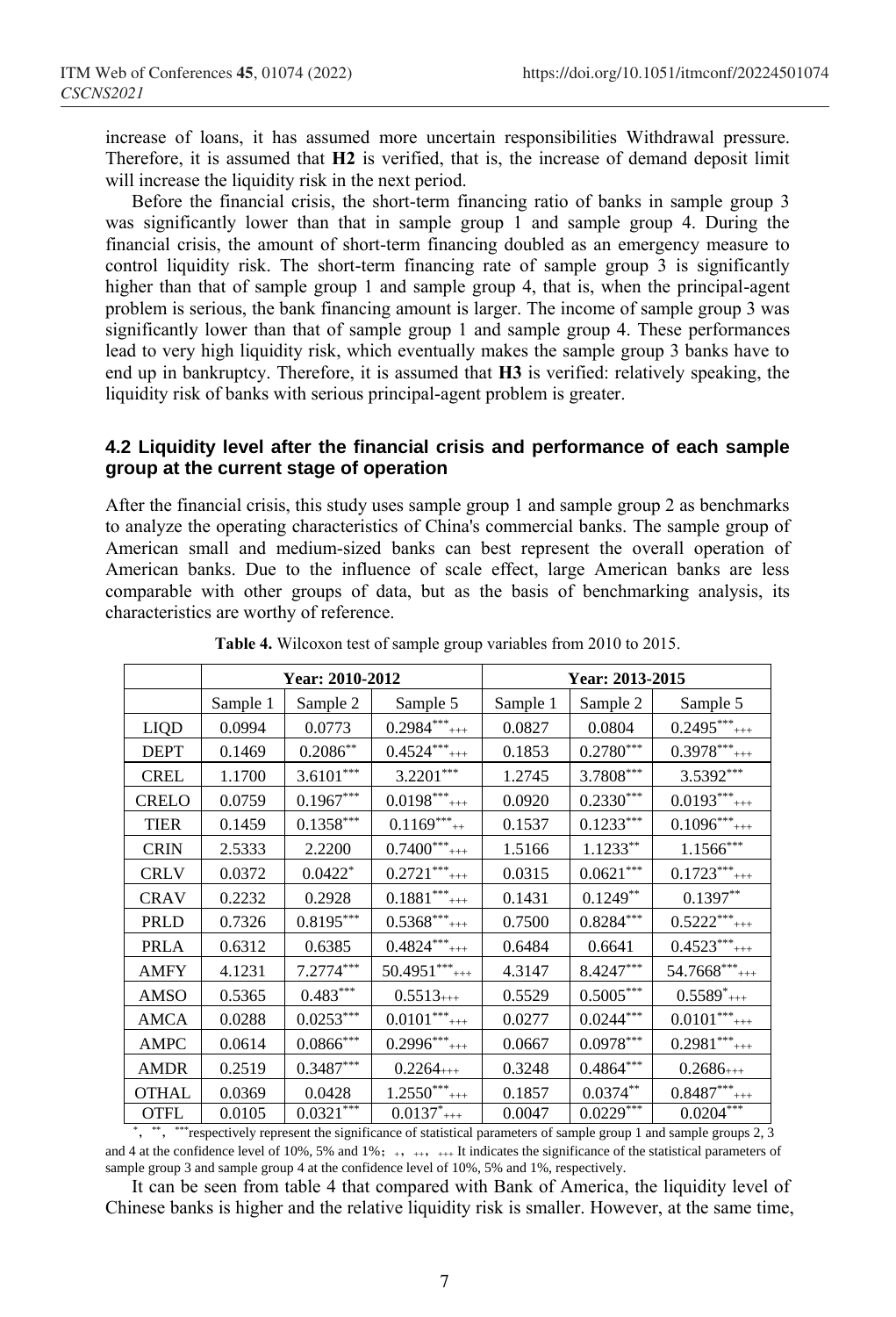increase of loans, it has assumed more uncertain responsibilities Withdrawal pressure. Therefore, it is assumed that **H2** is verified, that is, the increase of demand deposit limit will increase the liquidity risk in the next period.

Before the financial crisis, the short-term financing ratio of banks in sample group 3 was significantly lower than that in sample group 1 and sample group 4. During the financial crisis, the amount of short-term financing doubled as an emergency measure to control liquidity risk. The short-term financing rate of sample group 3 is significantly higher than that of sample group 1 and sample group 4, that is, when the principal-agent problem is serious, the bank financing amount is larger. The income of sample group 3 was significantly lower than that of sample group 1 and sample group 4. These performances lead to very high liquidity risk, which eventually makes the sample group 3 banks have to end up in bankruptcy. Therefore, it is assumed that **H3** is verified: relatively speaking, the liquidity risk of banks with serious principal-agent problem is greater.

#### **4.2 Liquidity level after the financial crisis and performance of each sample group at the current stage of operation**

After the financial crisis, this study uses sample group 1 and sample group 2 as benchmarks to analyze the operating characteristics of China's commercial banks. The sample group of American small and medium-sized banks can best represent the overall operation of American banks. Due to the influence of scale effect, large American banks are less comparable with other groups of data, but as the basis of benchmarking analysis, its characteristics are worthy of reference.

|              | Year: 2010-2012 |                  |                             | Year: 2013-2015 |               |                             |
|--------------|-----------------|------------------|-----------------------------|-----------------|---------------|-----------------------------|
|              | Sample 1        | Sample 2         | Sample 5                    | Sample 1        | Sample 2      | Sample 5                    |
| <b>LIQD</b>  | 0.0994          | 0.0773           | $0.2984***$                 | 0.0827          | 0.0804        | $0.2495***$                 |
| <b>DEPT</b>  | 0.1469          | $0.2086**$       | $0.4524***$                 | 0.1853          | $0.2780***$   | $0.3978***$                 |
| <b>CREL</b>  | 1.1700          | $3.6101***$      | $3.2201***$                 | 1.2745          | $3.7808***$   | $3.5392***$                 |
| <b>CRELO</b> | 0.0759          | $0.1967***$      | $0.0198***$                 | 0.0920          | $0.2330***$   | $0.0193***$                 |
| <b>TIER</b>  | 0.1459          | $0.1358***$      | $0.1169***$                 | 0.1537          | $0.1233***$   | $0.1096***$                 |
| <b>CRIN</b>  | 2.5333          | 2.2200           | $0.7400***$ <sub>***</sub>  | 1.5166          | $1.1233**$    | $1.1566***$                 |
| <b>CRLV</b>  | 0.0372          | $0.0422*$        | $0.2721$ *** <sub>+++</sub> | 0.0315          | $0.0621***$   | $0.1723***$                 |
| <b>CRAV</b>  | 0.2232          | 0.2928           | $0.1881$ *** <sub>+++</sub> | 0.1431          | $0.1249**$    | $0.1397**$                  |
| PRLD         | 0.7326          | $0.8195***$      | $0.5368$ ***                | 0.7500          | $0.8284***$   | $0.5222***$                 |
| <b>PRLA</b>  | 0.6312          | 0.6385           | $0.4824***$                 | 0.6484          | 0.6641        | $0.4523***$                 |
| <b>AMFY</b>  | 4.1231          | $7.2774***$      | $50.4951***$                | 4.3147          | $8.4247***$   | $54.7668$ ***               |
| AMSO         | 0.5365          | $0.483***$       | $0.5513_{+++}$              | 0.5529          | $0.5005***$   | $0.5589^{*}_{+++}$          |
| <b>AMCA</b>  | 0.0288          | $0.0253***$      | $0.0101***$ <sub>+++</sub>  | 0.0277          | $0.0244***$   | $0.0101***$ <sub>+++</sub>  |
| <b>AMPC</b>  | 0.0614          | $0.0866^{***}\,$ | $0.2996***$ <sub>***</sub>  | 0.0667          | $0.0978***$   | $0.2981$ *** <sub>+++</sub> |
| <b>AMDR</b>  | 0.2519          | $0.3487***$      | $0.2264_{+++}$              | 0.3248          | $0.4864***$   | $0.2686_{+++}$              |
| OTHAL        | 0.0369          | 0.0428           | $1.2550***$                 | 0.1857          | $0.0374^{**}$ | $0.8487***$<br>$^{+++}$     |
| <b>OTFL</b>  | 0.0105          | $0.0321***$      | $0.0137^*$ <sub>+++</sub>   | 0.0047          | $0.0229***$   | $0.0204***$                 |

**Table 4.** Wilcoxon test of sample group variables from 2010 to 2015.

\*, \*\*, \*\*\*respectively represent the significance of statistical parameters of sample group 1 and sample groups 2, 3 and 4 at the confidence level of 10%, 5% and 1%;  $\leftrightarrow$   $\leftrightarrow$   $\leftrightarrow$  It indicates the significance of the statistical parameters of sample group 3 and sample group 4 at the confidence level of 10%, 5% and 1%, respectively.

It can be seen from table 4 that compared with Bank of America, the liquidity level of Chinese banks is higher and the relative liquidity risk is smaller. However, at the same time,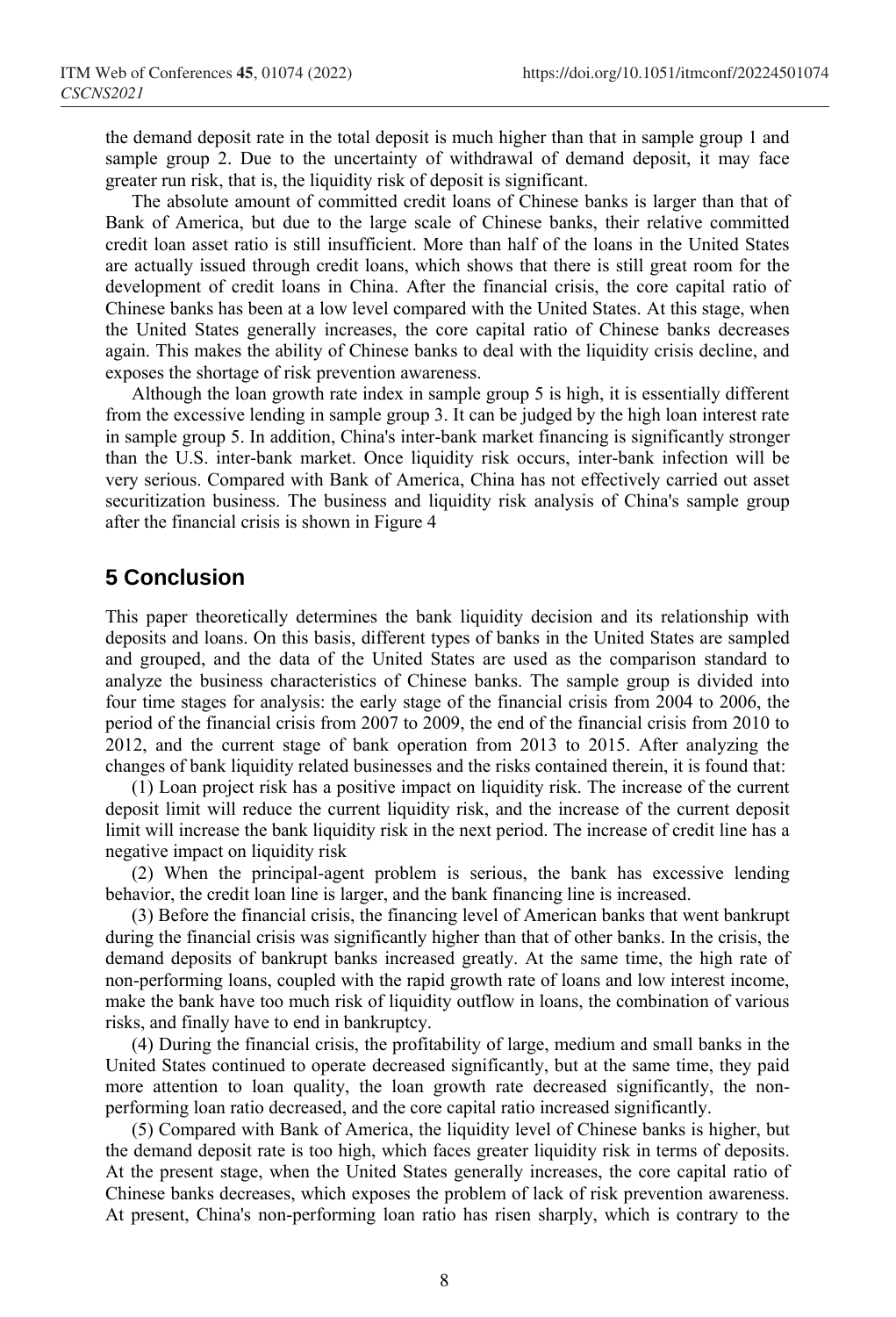the demand deposit rate in the total deposit is much higher than that in sample group 1 and sample group 2. Due to the uncertainty of withdrawal of demand deposit, it may face greater run risk, that is, the liquidity risk of deposit is significant.

The absolute amount of committed credit loans of Chinese banks is larger than that of Bank of America, but due to the large scale of Chinese banks, their relative committed credit loan asset ratio is still insufficient. More than half of the loans in the United States are actually issued through credit loans, which shows that there is still great room for the development of credit loans in China. After the financial crisis, the core capital ratio of Chinese banks has been at a low level compared with the United States. At this stage, when the United States generally increases, the core capital ratio of Chinese banks decreases again. This makes the ability of Chinese banks to deal with the liquidity crisis decline, and exposes the shortage of risk prevention awareness.

Although the loan growth rate index in sample group 5 is high, it is essentially different from the excessive lending in sample group 3. It can be judged by the high loan interest rate in sample group 5. In addition, China's inter-bank market financing is significantly stronger than the U.S. inter-bank market. Once liquidity risk occurs, inter-bank infection will be very serious. Compared with Bank of America, China has not effectively carried out asset securitization business. The business and liquidity risk analysis of China's sample group after the financial crisis is shown in Figure 4

## **5 Conclusion**

This paper theoretically determines the bank liquidity decision and its relationship with deposits and loans. On this basis, different types of banks in the United States are sampled and grouped, and the data of the United States are used as the comparison standard to analyze the business characteristics of Chinese banks. The sample group is divided into four time stages for analysis: the early stage of the financial crisis from 2004 to 2006, the period of the financial crisis from 2007 to 2009, the end of the financial crisis from 2010 to 2012, and the current stage of bank operation from 2013 to 2015. After analyzing the changes of bank liquidity related businesses and the risks contained therein, it is found that:

(1) Loan project risk has a positive impact on liquidity risk. The increase of the current deposit limit will reduce the current liquidity risk, and the increase of the current deposit limit will increase the bank liquidity risk in the next period. The increase of credit line has a negative impact on liquidity risk

(2) When the principal-agent problem is serious, the bank has excessive lending behavior, the credit loan line is larger, and the bank financing line is increased.

(3) Before the financial crisis, the financing level of American banks that went bankrupt during the financial crisis was significantly higher than that of other banks. In the crisis, the demand deposits of bankrupt banks increased greatly. At the same time, the high rate of non-performing loans, coupled with the rapid growth rate of loans and low interest income, make the bank have too much risk of liquidity outflow in loans, the combination of various risks, and finally have to end in bankruptcy.

(4) During the financial crisis, the profitability of large, medium and small banks in the United States continued to operate decreased significantly, but at the same time, they paid more attention to loan quality, the loan growth rate decreased significantly, the nonperforming loan ratio decreased, and the core capital ratio increased significantly.

(5) Compared with Bank of America, the liquidity level of Chinese banks is higher, but the demand deposit rate is too high, which faces greater liquidity risk in terms of deposits. At the present stage, when the United States generally increases, the core capital ratio of Chinese banks decreases, which exposes the problem of lack of risk prevention awareness. At present, China's non-performing loan ratio has risen sharply, which is contrary to the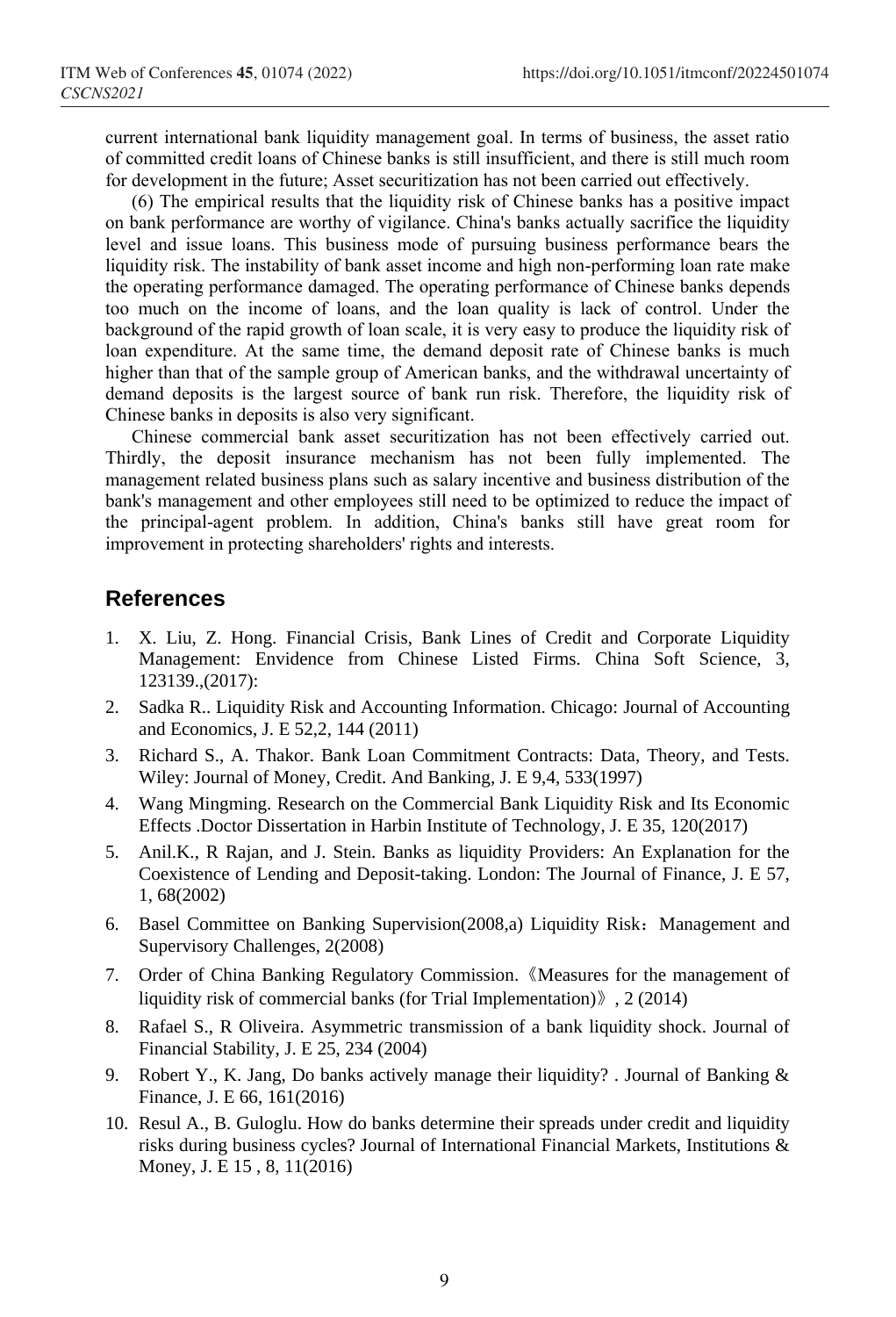current international bank liquidity management goal. In terms of business, the asset ratio of committed credit loans of Chinese banks is still insufficient, and there is still much room for development in the future; Asset securitization has not been carried out effectively.

(6) The empirical results that the liquidity risk of Chinese banks has a positive impact on bank performance are worthy of vigilance. China's banks actually sacrifice the liquidity level and issue loans. This business mode of pursuing business performance bears the liquidity risk. The instability of bank asset income and high non-performing loan rate make the operating performance damaged. The operating performance of Chinese banks depends too much on the income of loans, and the loan quality is lack of control. Under the background of the rapid growth of loan scale, it is very easy to produce the liquidity risk of loan expenditure. At the same time, the demand deposit rate of Chinese banks is much higher than that of the sample group of American banks, and the withdrawal uncertainty of demand deposits is the largest source of bank run risk. Therefore, the liquidity risk of Chinese banks in deposits is also very significant.

Chinese commercial bank asset securitization has not been effectively carried out. Thirdly, the deposit insurance mechanism has not been fully implemented. The management related business plans such as salary incentive and business distribution of the bank's management and other employees still need to be optimized to reduce the impact of the principal-agent problem. In addition, China's banks still have great room for improvement in protecting shareholders' rights and interests.

### **References**

- 1. X. Liu, Z. Hong. Financial Crisis, Bank Lines of Credit and Corporate Liquidity Management: Envidence from Chinese Listed Firms. China Soft Science, 3, 123139.,(2017):
- 2. Sadka R.. Liquidity Risk and Accounting Information. Chicago: Journal of Accounting and Economics, J. E 52,2, 144 (2011)
- 3. Richard S., A. Thakor. Bank Loan Commitment Contracts: Data, Theory, and Tests. Wiley: Journal of Money, Credit. And Banking, J. E 9,4, 533(1997)
- 4. Wang Mingming. Research on the Commercial Bank Liquidity Risk and Its Economic Effects .Doctor Dissertation in Harbin Institute of Technology, J. E 35, 120(2017)
- 5. Anil.K., R Rajan, and J. Stein. Banks as liquidity Providers: An Explanation for the Coexistence of Lending and Deposit-taking. London: The Journal of Finance, J. E 57, 1, 68(2002)
- 6. Basel Committee on Banking Supervision(2008,a) Liquidity Risk: Management and Supervisory Challenges, 2(2008)
- 7. Order of China Banking Regulatory Commission.《Measures for the management of liquidity risk of commercial banks (for Trial Implementation)》, 2 (2014)
- 8. Rafael S., R Oliveira. Asymmetric transmission of a bank liquidity shock. Journal of Financial Stability, J. E 25, 234 (2004)
- 9. Robert Y., K. Jang, Do banks actively manage their liquidity? . Journal of Banking  $\&$ Finance, J. E 66, 161(2016)
- 10. Resul A., B. Guloglu. How do banks determine their spreads under credit and liquidity risks during business cycles? Journal of International Financial Markets, Institutions & Money, J. E 15 , 8, 11(2016)